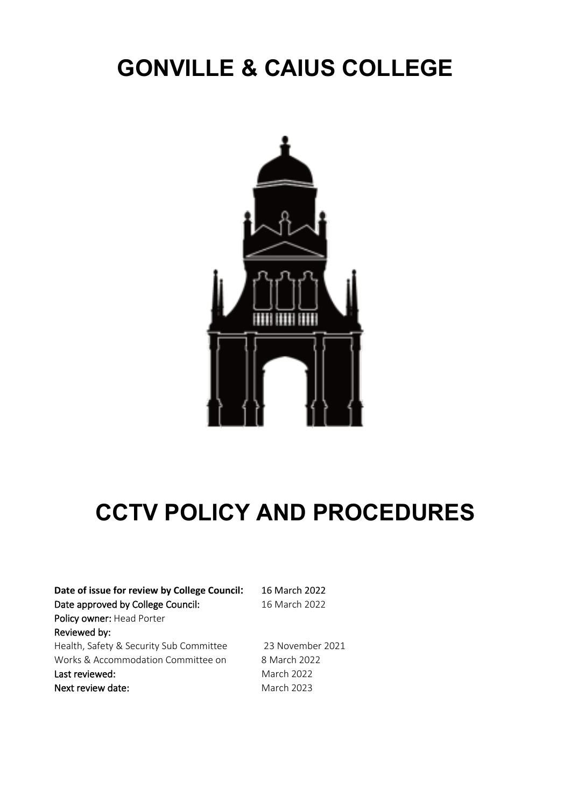# **GONVILLE & CAIUS COLLEGE**



# **CCTV POLICY AND PROCEDURES**

| Date of issue for review by College Council: | 16 March 2022    |
|----------------------------------------------|------------------|
| Date approved by College Council:            | 16 March 2022    |
| Policy owner: Head Porter                    |                  |
| Reviewed by:                                 |                  |
| Health, Safety & Security Sub Committee      | 23 November 2021 |
| Works & Accommodation Committee on           | 8 March 2022     |
| Last reviewed:                               | March 2022       |
| Next review date:                            | March 2023       |
|                                              |                  |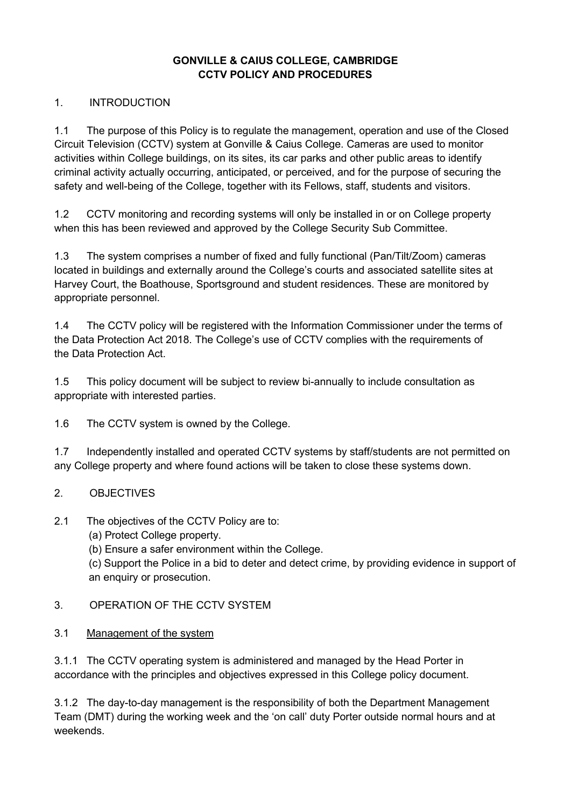# **GONVILLE & CAIUS COLLEGE, CAMBRIDGE CCTV POLICY AND PROCEDURES**

# 1. INTRODUCTION

1.1 The purpose of this Policy is to regulate the management, operation and use of the Closed Circuit Television (CCTV) system at Gonville & Caius College. Cameras are used to monitor activities within College buildings, on its sites, its car parks and other public areas to identify criminal activity actually occurring, anticipated, or perceived, and for the purpose of securing the safety and well-being of the College, together with its Fellows, staff, students and visitors.

1.2 CCTV monitoring and recording systems will only be installed in or on College property when this has been reviewed and approved by the College Security Sub Committee.

1.3 The system comprises a number of fixed and fully functional (Pan/Tilt/Zoom) cameras located in buildings and externally around the College's courts and associated satellite sites at Harvey Court, the Boathouse, Sportsground and student residences. These are monitored by appropriate personnel.

1.4 The CCTV policy will be registered with the Information Commissioner under the terms of the Data Protection Act 2018. The College's use of CCTV complies with the requirements of the Data Protection Act.

1.5 This policy document will be subject to review bi-annually to include consultation as appropriate with interested parties.

1.6 The CCTV system is owned by the College.

1.7 Independently installed and operated CCTV systems by staff/students are not permitted on any College property and where found actions will be taken to close these systems down.

#### 2. OBJECTIVES

#### 2.1 The objectives of the CCTV Policy are to:

(a) Protect College property.

(b) Ensure a safer environment within the College.

(c) Support the Police in a bid to deter and detect crime, by providing evidence in support of an enquiry or prosecution.

#### 3. OPERATION OF THE CCTV SYSTEM

#### 3.1 Management of the system

3.1.1 The CCTV operating system is administered and managed by the Head Porter in accordance with the principles and objectives expressed in this College policy document.

3.1.2 The day-to-day management is the responsibility of both the Department Management Team (DMT) during the working week and the 'on call' duty Porter outside normal hours and at weekends.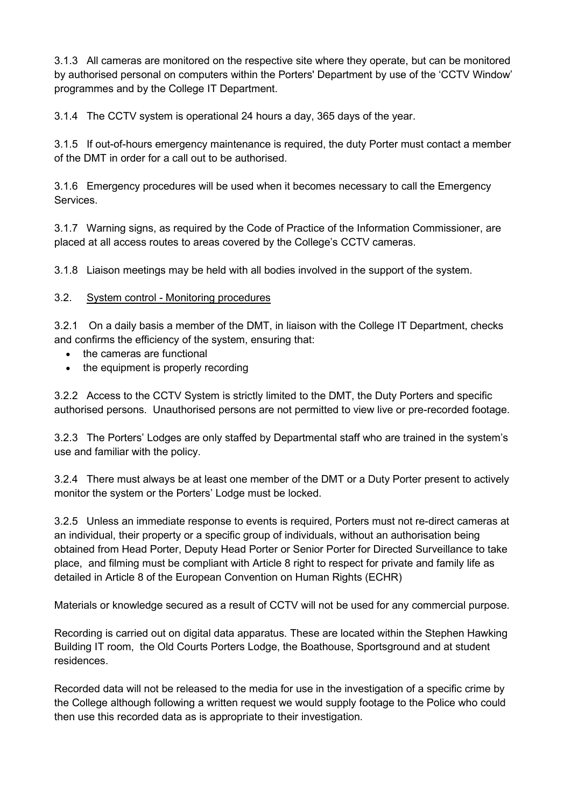3.1.3 All cameras are monitored on the respective site where they operate, but can be monitored by authorised personal on computers within the Porters' Department by use of the 'CCTV Window' programmes and by the College IT Department.

3.1.4 The CCTV system is operational 24 hours a day, 365 days of the year.

3.1.5 If out-of-hours emergency maintenance is required, the duty Porter must contact a member of the DMT in order for a call out to be authorised.

3.1.6 Emergency procedures will be used when it becomes necessary to call the Emergency **Services** 

3.1.7 Warning signs, as required by the Code of Practice of the Information Commissioner, are placed at all access routes to areas covered by the College's CCTV cameras.

3.1.8 Liaison meetings may be held with all bodies involved in the support of the system.

#### 3.2. System control - Monitoring procedures

3.2.1 On a daily basis a member of the DMT, in liaison with the College IT Department, checks and confirms the efficiency of the system, ensuring that:

- the cameras are functional
- the equipment is properly recording

3.2.2 Access to the CCTV System is strictly limited to the DMT, the Duty Porters and specific authorised persons. Unauthorised persons are not permitted to view live or pre-recorded footage.

3.2.3 The Porters' Lodges are only staffed by Departmental staff who are trained in the system's use and familiar with the policy.

3.2.4 There must always be at least one member of the DMT or a Duty Porter present to actively monitor the system or the Porters' Lodge must be locked.

3.2.5 Unless an immediate response to events is required, Porters must not re-direct cameras at an individual, their property or a specific group of individuals, without an authorisation being obtained from Head Porter, Deputy Head Porter or Senior Porter for Directed Surveillance to take place, and filming must be compliant with Article 8 right to respect for private and family life as detailed in Article 8 of the European Convention on Human Rights (ECHR)

Materials or knowledge secured as a result of CCTV will not be used for any commercial purpose.

Recording is carried out on digital data apparatus. These are located within the Stephen Hawking Building IT room, the Old Courts Porters Lodge, the Boathouse, Sportsground and at student residences.

Recorded data will not be released to the media for use in the investigation of a specific crime by the College although following a written request we would supply footage to the Police who could then use this recorded data as is appropriate to their investigation.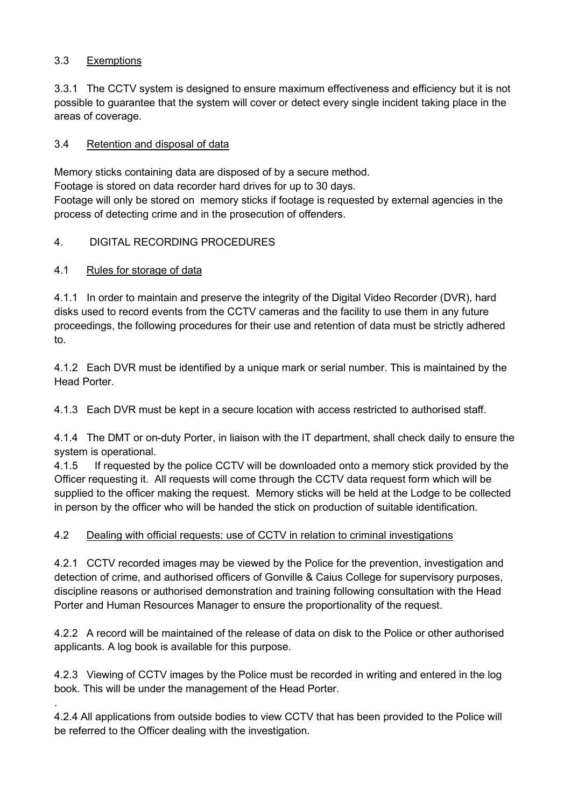# 3.3 Exemptions

3.3.1 The CCTV system is designed to ensure maximum effectiveness and efficiency but it is not possible to guarantee that the system will cover or detect every single incident taking place in the areas of coverage.

#### 3.4 Retention and disposal of data

Memory sticks containing data are disposed of by a secure method.

Footage is stored on data recorder hard drives for up to 30 days.

Footage will only be stored on memory sticks if footage is requested by external agencies in the process of detecting crime and in the prosecution of offenders.

# 4. DIGITAL RECORDING PROCEDURES

# 4.1 Rules for storage of data

.

4.1.1 In order to maintain and preserve the integrity of the Digital Video Recorder (DVR), hard disks used to record events from the CCTV cameras and the facility to use them in any future proceedings, the following procedures for their use and retention of data must be strictly adhered to.

4.1.2 Each DVR must be identified by a unique mark or serial number. This is maintained by the Head Porter.

4.1.3 Each DVR must be kept in a secure location with access restricted to authorised staff.

4.1.4 The DMT or on-duty Porter, in liaison with the IT department, shall check daily to ensure the system is operational.

4.1.5 If requested by the police CCTV will be downloaded onto a memory stick provided by the Officer requesting it. All requests will come through the CCTV data request form which will be supplied to the officer making the request. Memory sticks will be held at the Lodge to be collected in person by the officer who will be handed the stick on production of suitable identification.

#### 4.2 Dealing with official requests: use of CCTV in relation to criminal investigations

4.2.1 CCTV recorded images may be viewed by the Police for the prevention, investigation and detection of crime, and authorised officers of Gonville & Caius College for supervisory purposes, discipline reasons or authorised demonstration and training following consultation with the Head Porter and Human Resources Manager to ensure the proportionality of the request.

4.2.2 A record will be maintained of the release of data on disk to the Police or other authorised applicants. A log book is available for this purpose.

4.2.3 Viewing of CCTV images by the Police must be recorded in writing and entered in the log book. This will be under the management of the Head Porter.

4.2.4 All applications from outside bodies to view CCTV that has been provided to the Police will be referred to the Officer dealing with the investigation.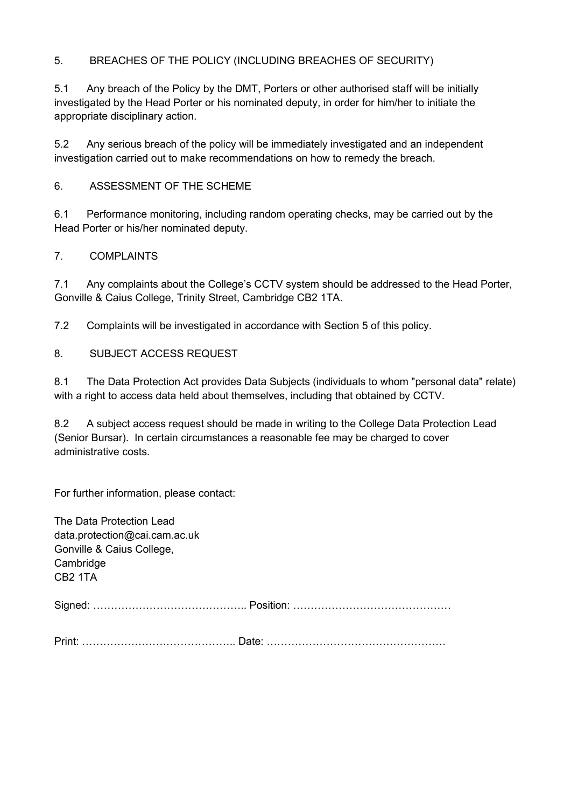# 5. BREACHES OF THE POLICY (INCLUDING BREACHES OF SECURITY)

5.1 Any breach of the Policy by the DMT, Porters or other authorised staff will be initially investigated by the Head Porter or his nominated deputy, in order for him/her to initiate the appropriate disciplinary action.

5.2 Any serious breach of the policy will be immediately investigated and an independent investigation carried out to make recommendations on how to remedy the breach.

#### 6. ASSESSMENT OF THE SCHEME

6.1 Performance monitoring, including random operating checks, may be carried out by the Head Porter or his/her nominated deputy.

#### 7. COMPLAINTS

7.1 Any complaints about the College's CCTV system should be addressed to the Head Porter, Gonville & Caius College, Trinity Street, Cambridge CB2 1TA.

7.2 Complaints will be investigated in accordance with Section 5 of this policy.

# 8. SUBJECT ACCESS REQUEST

8.1 The Data Protection Act provides Data Subjects (individuals to whom "personal data" relate) with a right to access data held about themselves, including that obtained by CCTV.

8.2 A subject access request should be made in writing to the College Data Protection Lead (Senior Bursar). In certain circumstances a reasonable fee may be charged to cover administrative costs.

For further information, please contact:

| The Data Protection Lead<br>data.protection@cai.cam.ac.uk<br>Gonville & Caius College,<br>Cambridge<br>CB <sub>2</sub> 1TA |  |
|----------------------------------------------------------------------------------------------------------------------------|--|
|                                                                                                                            |  |
|                                                                                                                            |  |